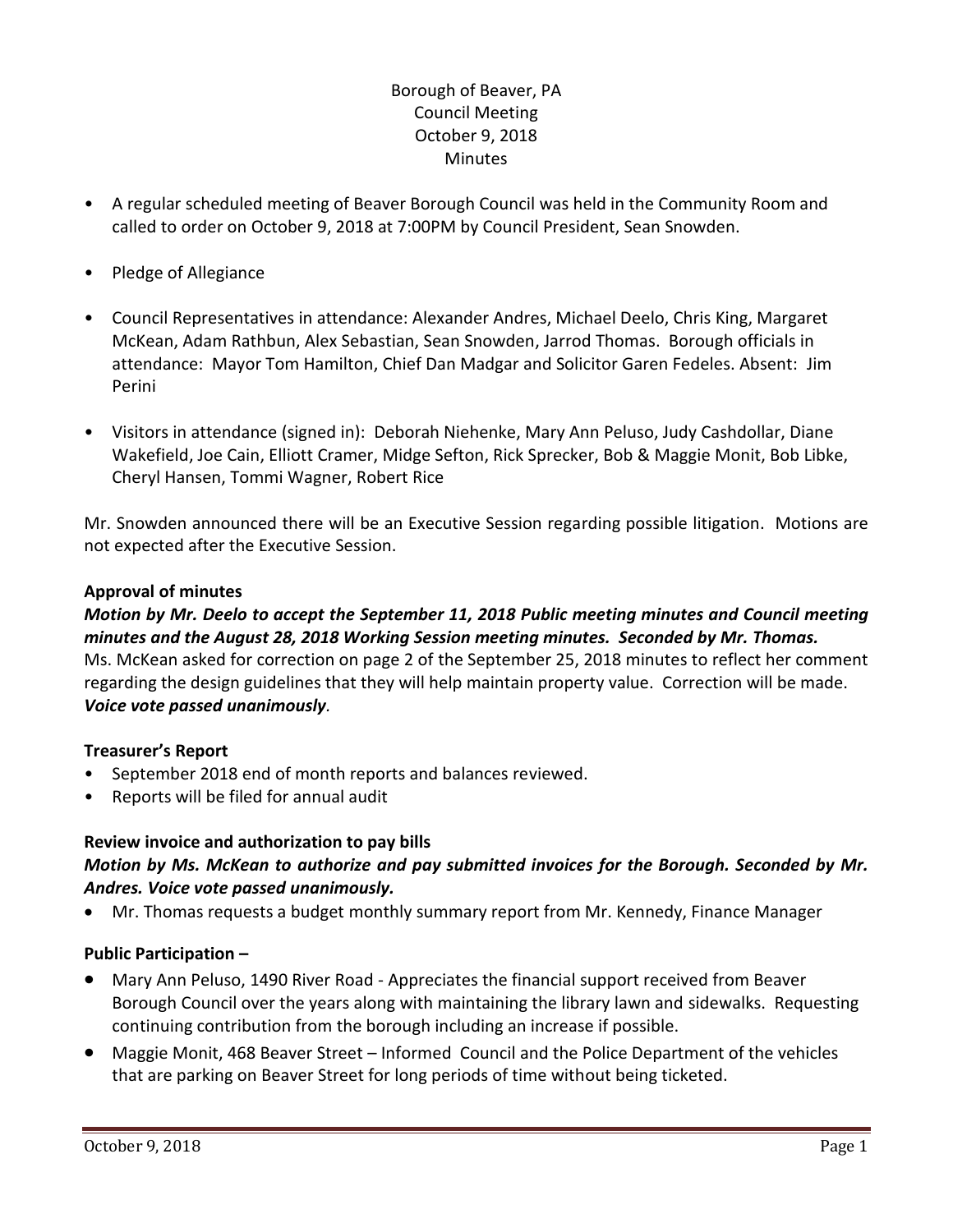# Borough of Beaver, PA Council Meeting October 9, 2018 **Minutes**

- A regular scheduled meeting of Beaver Borough Council was held in the Community Room and called to order on October 9, 2018 at 7:00PM by Council President, Sean Snowden.
- Pledge of Allegiance
- Council Representatives in attendance: Alexander Andres, Michael Deelo, Chris King, Margaret McKean, Adam Rathbun, Alex Sebastian, Sean Snowden, Jarrod Thomas. Borough officials in attendance: Mayor Tom Hamilton, Chief Dan Madgar and Solicitor Garen Fedeles. Absent: Jim Perini
- Visitors in attendance (signed in): Deborah Niehenke, Mary Ann Peluso, Judy Cashdollar, Diane Wakefield, Joe Cain, Elliott Cramer, Midge Sefton, Rick Sprecker, Bob & Maggie Monit, Bob Libke, Cheryl Hansen, Tommi Wagner, Robert Rice

Mr. Snowden announced there will be an Executive Session regarding possible litigation. Motions are not expected after the Executive Session.

### **Approval of minutes**

# *Motion by Mr. Deelo to accept the September 11, 2018 Public meeting minutes and Council meeting minutes and the August 28, 2018 Working Session meeting minutes. Seconded by Mr. Thomas.*  Ms. McKean asked for correction on page 2 of the September 25, 2018 minutes to reflect her comment regarding the design guidelines that they will help maintain property value. Correction will be made. *Voice vote passed unanimously.*

### **Treasurer's Report**

- September 2018 end of month reports and balances reviewed.
- Reports will be filed for annual audit

# **Review invoice and authorization to pay bills**

# *Motion by Ms. McKean to authorize and pay submitted invoices for the Borough. Seconded by Mr. Andres. Voice vote passed unanimously.*

Mr. Thomas requests a budget monthly summary report from Mr. Kennedy, Finance Manager

# **Public Participation –**

- Mary Ann Peluso, 1490 River Road Appreciates the financial support received from Beaver Borough Council over the years along with maintaining the library lawn and sidewalks. Requesting continuing contribution from the borough including an increase if possible.
- Maggie Monit, 468 Beaver Street Informed Council and the Police Department of the vehicles that are parking on Beaver Street for long periods of time without being ticketed.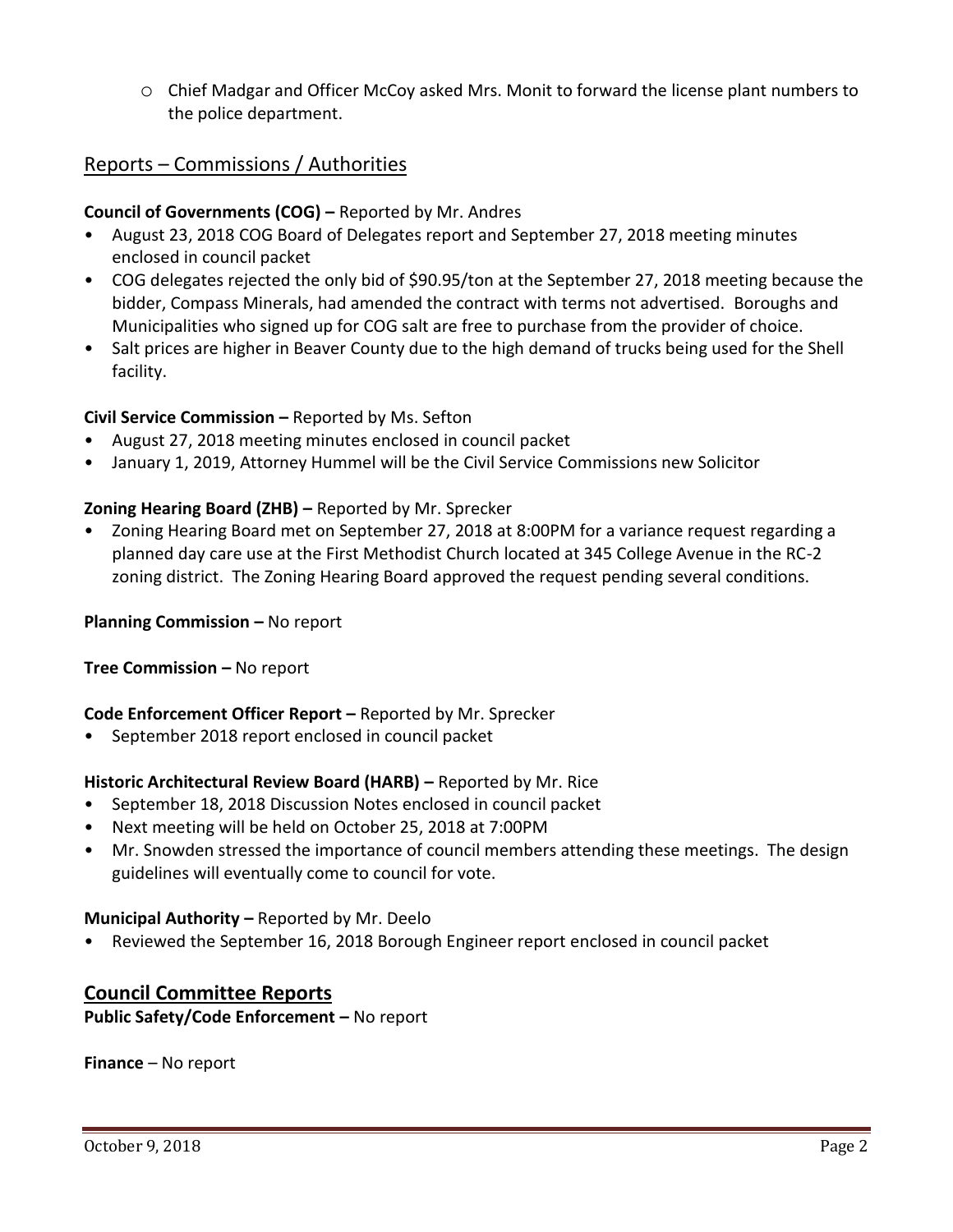o Chief Madgar and Officer McCoy asked Mrs. Monit to forward the license plant numbers to the police department.

# Reports – Commissions / Authorities

### **Council of Governments (COG) –** Reported by Mr. Andres

- August 23, 2018 COG Board of Delegates report and September 27, 2018 meeting minutes enclosed in council packet
- COG delegates rejected the only bid of \$90.95/ton at the September 27, 2018 meeting because the bidder, Compass Minerals, had amended the contract with terms not advertised. Boroughs and Municipalities who signed up for COG salt are free to purchase from the provider of choice.
- Salt prices are higher in Beaver County due to the high demand of trucks being used for the Shell facility.

### **Civil Service Commission –** Reported by Ms. Sefton

- August 27, 2018 meeting minutes enclosed in council packet
- January 1, 2019, Attorney Hummel will be the Civil Service Commissions new Solicitor

### **Zoning Hearing Board (ZHB) –** Reported by Mr. Sprecker

• Zoning Hearing Board met on September 27, 2018 at 8:00PM for a variance request regarding a planned day care use at the First Methodist Church located at 345 College Avenue in the RC-2 zoning district. The Zoning Hearing Board approved the request pending several conditions.

**Planning Commission –** No report

**Tree Commission –** No report

### **Code Enforcement Officer Report –** Reported by Mr. Sprecker

• September 2018 report enclosed in council packet

### **Historic Architectural Review Board (HARB) –** Reported by Mr. Rice

- September 18, 2018 Discussion Notes enclosed in council packet
- Next meeting will be held on October 25, 2018 at 7:00PM
- Mr. Snowden stressed the importance of council members attending these meetings. The design guidelines will eventually come to council for vote.

#### **Municipal Authority –** Reported by Mr. Deelo

• Reviewed the September 16, 2018 Borough Engineer report enclosed in council packet

# **Council Committee Reports**

**Public Safety/Code Enforcement –** No report

**Finance** – No report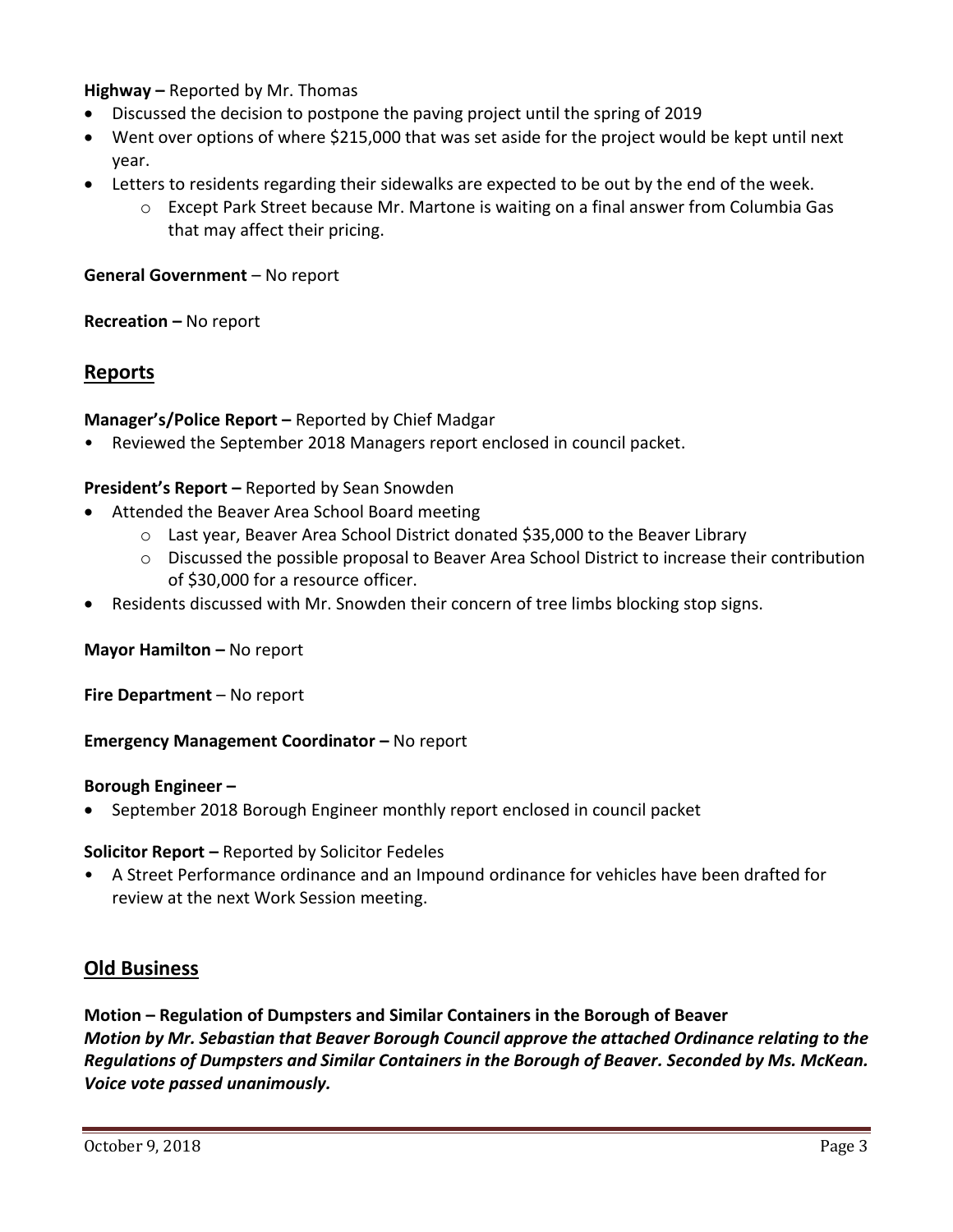### **Highway –** Reported by Mr. Thomas

- Discussed the decision to postpone the paving project until the spring of 2019
- Went over options of where \$215,000 that was set aside for the project would be kept until next year.
- Letters to residents regarding their sidewalks are expected to be out by the end of the week.
	- $\circ$  Except Park Street because Mr. Martone is waiting on a final answer from Columbia Gas that may affect their pricing.

### **General Government** – No report

### **Recreation –** No report

# **Reports**

### **Manager's/Police Report –** Reported by Chief Madgar

• Reviewed the September 2018 Managers report enclosed in council packet.

### **President's Report –** Reported by Sean Snowden

- Attended the Beaver Area School Board meeting
	- o Last year, Beaver Area School District donated \$35,000 to the Beaver Library
	- o Discussed the possible proposal to Beaver Area School District to increase their contribution of \$30,000 for a resource officer.
- Residents discussed with Mr. Snowden their concern of tree limbs blocking stop signs.

### **Mayor Hamilton - No report**

**Fire Department** – No report

**Emergency Management Coordinator - No report** 

#### **Borough Engineer –**

September 2018 Borough Engineer monthly report enclosed in council packet

**Solicitor Report –** Reported by Solicitor Fedeles

• A Street Performance ordinance and an Impound ordinance for vehicles have been drafted for review at the next Work Session meeting.

# **Old Business**

# **Motion – Regulation of Dumpsters and Similar Containers in the Borough of Beaver** *Motion by Mr. Sebastian that Beaver Borough Council approve the attached Ordinance relating to the Regulations of Dumpsters and Similar Containers in the Borough of Beaver. Seconded by Ms. McKean. Voice vote passed unanimously.*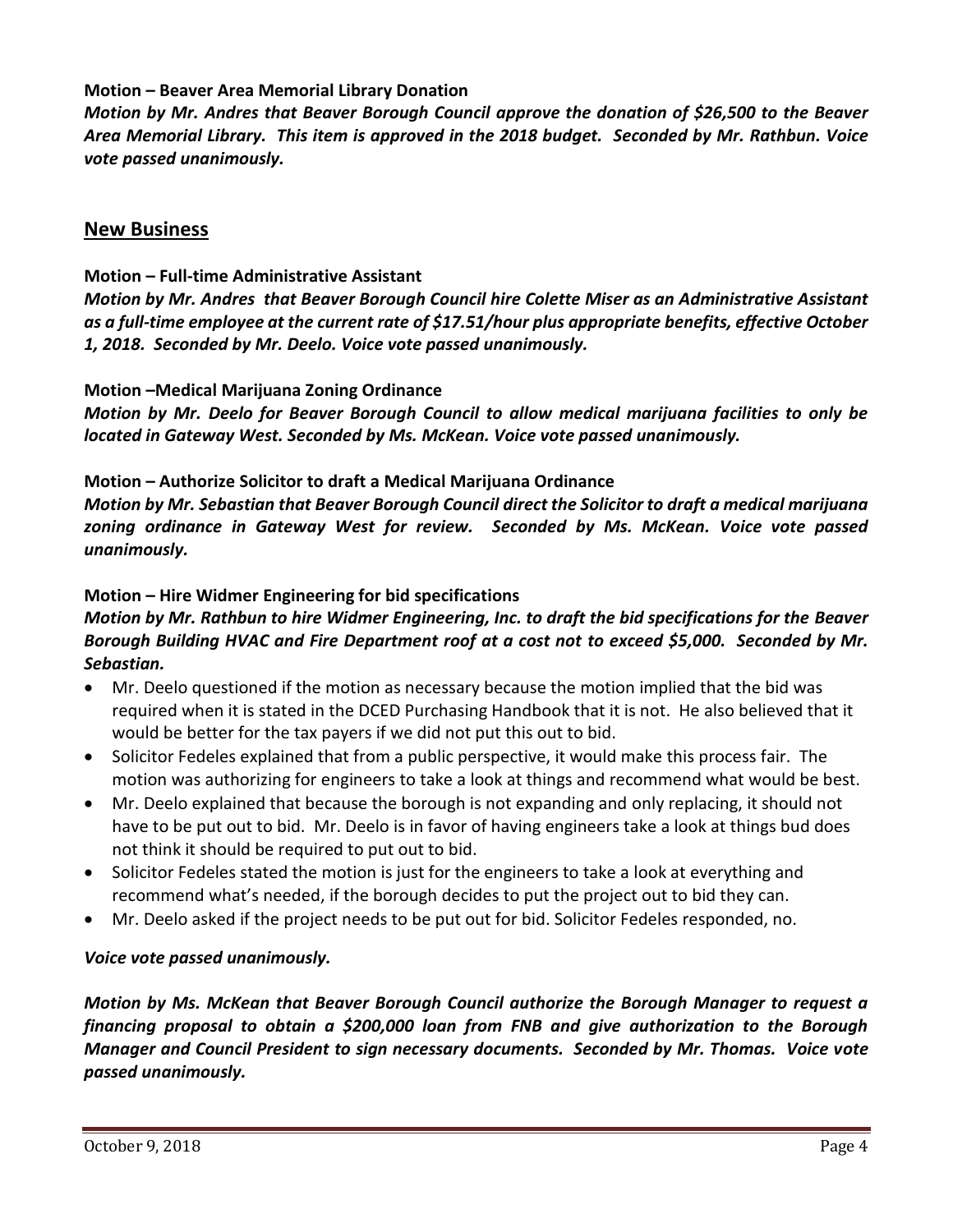### **Motion – Beaver Area Memorial Library Donation**

*Motion by Mr. Andres that Beaver Borough Council approve the donation of \$26,500 to the Beaver Area Memorial Library. This item is approved in the 2018 budget. Seconded by Mr. Rathbun. Voice vote passed unanimously.* 

# **New Business**

### **Motion – Full-time Administrative Assistant**

*Motion by Mr. Andres that Beaver Borough Council hire Colette Miser as an Administrative Assistant as a full-time employee at the current rate of \$17.51/hour plus appropriate benefits, effective October 1, 2018. Seconded by Mr. Deelo. Voice vote passed unanimously.*

### **Motion –Medical Marijuana Zoning Ordinance**

*Motion by Mr. Deelo for Beaver Borough Council to allow medical marijuana facilities to only be located in Gateway West. Seconded by Ms. McKean. Voice vote passed unanimously.*

### **Motion – Authorize Solicitor to draft a Medical Marijuana Ordinance**

*Motion by Mr. Sebastian that Beaver Borough Council direct the Solicitor to draft a medical marijuana zoning ordinance in Gateway West for review. Seconded by Ms. McKean. Voice vote passed unanimously.*

### **Motion – Hire Widmer Engineering for bid specifications**

# *Motion by Mr. Rathbun to hire Widmer Engineering, Inc. to draft the bid specifications for the Beaver Borough Building HVAC and Fire Department roof at a cost not to exceed \$5,000. Seconded by Mr. Sebastian.*

- Mr. Deelo questioned if the motion as necessary because the motion implied that the bid was required when it is stated in the DCED Purchasing Handbook that it is not. He also believed that it would be better for the tax payers if we did not put this out to bid.
- Solicitor Fedeles explained that from a public perspective, it would make this process fair. The motion was authorizing for engineers to take a look at things and recommend what would be best.
- Mr. Deelo explained that because the borough is not expanding and only replacing, it should not have to be put out to bid. Mr. Deelo is in favor of having engineers take a look at things bud does not think it should be required to put out to bid.
- Solicitor Fedeles stated the motion is just for the engineers to take a look at everything and recommend what's needed, if the borough decides to put the project out to bid they can.
- Mr. Deelo asked if the project needs to be put out for bid. Solicitor Fedeles responded, no.

### *Voice vote passed unanimously.*

*Motion by Ms. McKean that Beaver Borough Council authorize the Borough Manager to request a financing proposal to obtain a \$200,000 loan from FNB and give authorization to the Borough Manager and Council President to sign necessary documents. Seconded by Mr. Thomas. Voice vote passed unanimously.*